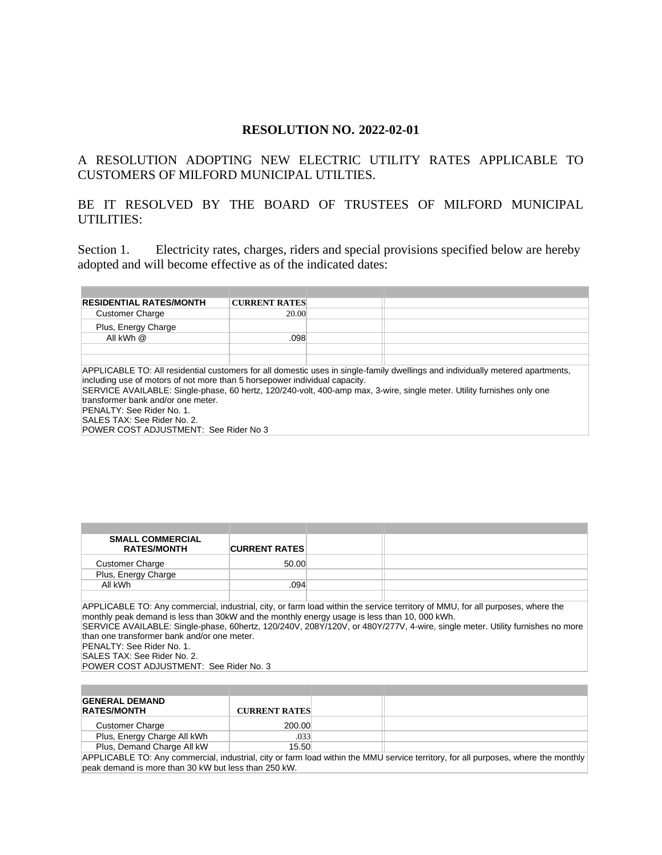### **RESOLUTION NO. 2022-02-01**

## A RESOLUTION ADOPTING NEW ELECTRIC UTILITY RATES APPLICABLE TO CUSTOMERS OF MILFORD MUNICIPAL UTILTIES.

# BE IT RESOLVED BY THE BOARD OF TRUSTEES OF MILFORD MUNICIPAL UTILITIES:

Section 1. Electricity rates, charges, riders and special provisions specified below are hereby adopted and will become effective as of the indicated dates:

| <b>RESIDENTIAL RATES/MONTH</b>                                                                                                                                                                                                                                                                                                         | <b>CURRENT RATES</b> |  |  |
|----------------------------------------------------------------------------------------------------------------------------------------------------------------------------------------------------------------------------------------------------------------------------------------------------------------------------------------|----------------------|--|--|
| <b>Customer Charge</b>                                                                                                                                                                                                                                                                                                                 | 20.00                |  |  |
| Plus, Energy Charge                                                                                                                                                                                                                                                                                                                    |                      |  |  |
| All kWh @                                                                                                                                                                                                                                                                                                                              | .098                 |  |  |
|                                                                                                                                                                                                                                                                                                                                        |                      |  |  |
|                                                                                                                                                                                                                                                                                                                                        |                      |  |  |
| APPLICABLE TO: All residential customers for all domestic uses in single-family dwellings and individually metered apartments,<br>including use of motors of not more than 5 horsepower individual capacity.<br>SERVICE AVAILABLE: Single-phase, 60 hertz, 120/240-volt, 400-amp max, 3-wire, single meter. Utility furnishes only one |                      |  |  |
| transformer bank and/or one meter.                                                                                                                                                                                                                                                                                                     |                      |  |  |
| <b>PENALTY: See Rider No. 1.</b>                                                                                                                                                                                                                                                                                                       |                      |  |  |
| SALES TAX: See Rider No. 2.                                                                                                                                                                                                                                                                                                            |                      |  |  |
| POWER COST ADJUSTMENT: See Rider No 3                                                                                                                                                                                                                                                                                                  |                      |  |  |

| <b>SMALL COMMERCIAL</b> |                      |  |
|-------------------------|----------------------|--|
| <b>RATES/MONTH</b>      | <b>CURRENT RATES</b> |  |
| <b>Customer Charge</b>  | 50.00                |  |
| Plus, Energy Charge     |                      |  |
| All kWh                 | .094                 |  |
|                         |                      |  |

APPLICABLE TO: Any commercial, industrial, city, or farm load within the service territory of MMU, for all purposes, where the monthly peak demand is less than 30kW and the monthly energy usage is less than 10, 000 kWh.

SERVICE AVAILABLE: Single-phase, 60hertz, 120/240V, 208Y/120V, or 480Y/277V, 4-wire, single meter. Utility furnishes no more than one transformer bank and/or one meter.

PENALTY: See Rider No. 1. SALES TAX: See Rider No. 2.

POWER COST ADJUSTMENT: See Rider No. 3

| <b>GENERAL DEMAND</b>       |                      |  |
|-----------------------------|----------------------|--|
| <b>RATES/MONTH</b>          | <b>CURRENT RATES</b> |  |
| <b>Customer Charge</b>      | 200.00               |  |
| Plus, Energy Charge All kWh | .033                 |  |
| Plus, Demand Charge All kW  | 15.50                |  |

APPLICABLE TO: Any commercial, industrial, city or farm load within the MMU service territory, for all purposes, where the monthly peak demand is more than 30 kW but less than 250 kW.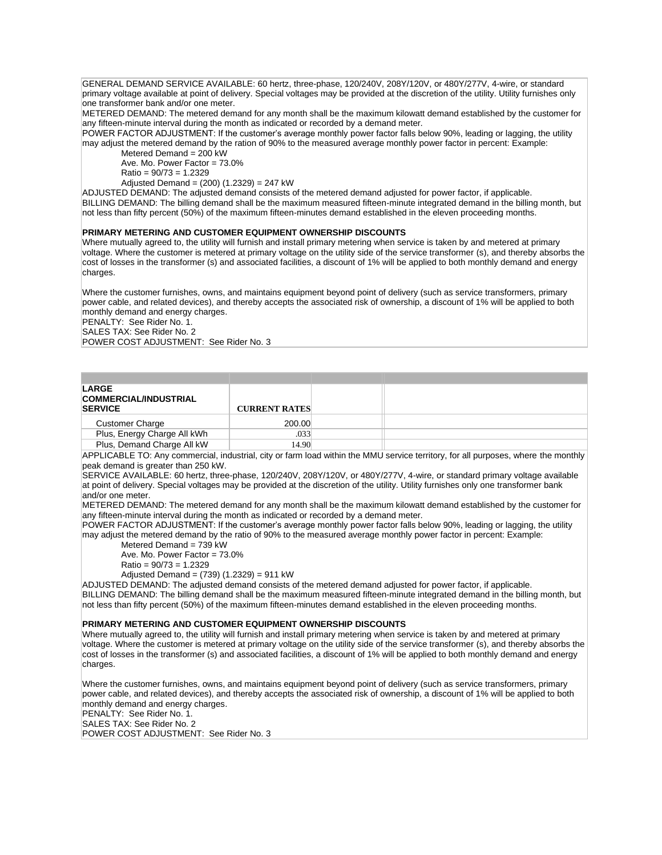GENERAL DEMAND SERVICE AVAILABLE: 60 hertz, three-phase, 120/240V, 208Y/120V, or 480Y/277V, 4-wire, or standard primary voltage available at point of delivery. Special voltages may be provided at the discretion of the utility. Utility furnishes only one transformer bank and/or one meter.

METERED DEMAND: The metered demand for any month shall be the maximum kilowatt demand established by the customer for any fifteen-minute interval during the month as indicated or recorded by a demand meter.

POWER FACTOR ADJUSTMENT: If the customer's average monthly power factor falls below 90%, leading or lagging, the utility may adjust the metered demand by the ration of 90% to the measured average monthly power factor in percent: Example:

Metered Demand = 200 kW Ave. Mo. Power Factor = 73.0%

 $Ratio = 90/73 = 1.2329$ 

Adjusted Demand =  $(200)$   $(1.2329)$  = 247 kW

ADJUSTED DEMAND: The adjusted demand consists of the metered demand adjusted for power factor, if applicable. BILLING DEMAND: The billing demand shall be the maximum measured fifteen-minute integrated demand in the billing month, but not less than fifty percent (50%) of the maximum fifteen-minutes demand established in the eleven proceeding months.

#### **PRIMARY METERING AND CUSTOMER EQUIPMENT OWNERSHIP DISCOUNTS**

Where mutually agreed to, the utility will furnish and install primary metering when service is taken by and metered at primary voltage. Where the customer is metered at primary voltage on the utility side of the service transformer (s), and thereby absorbs the cost of losses in the transformer (s) and associated facilities, a discount of 1% will be applied to both monthly demand and energy charges.

Where the customer furnishes, owns, and maintains equipment beyond point of delivery (such as service transformers, primary power cable, and related devices), and thereby accepts the associated risk of ownership, a discount of 1% will be applied to both monthly demand and energy charges.

PENALTY: See Rider No. 1.

SALES TAX: See Rider No. 2

POWER COST ADJUSTMENT: See Rider No. 3

| LARGE<br><b>COMMERCIAL/INDUSTRIAL</b><br><b>SERVICE</b> | <b>CURRENT RATES</b> |  |
|---------------------------------------------------------|----------------------|--|
| <b>Customer Charge</b>                                  | 200.00               |  |
| Plus, Energy Charge All kWh                             | .033                 |  |
| Plus, Demand Charge All kW                              | 14.90                |  |

APPLICABLE TO: Any commercial, industrial, city or farm load within the MMU service territory, for all purposes, where the monthly peak demand is greater than 250 kW.

SERVICE AVAILABLE: 60 hertz, three-phase, 120/240V, 208Y/120V, or 480Y/277V, 4-wire, or standard primary voltage available at point of delivery. Special voltages may be provided at the discretion of the utility. Utility furnishes only one transformer bank and/or one meter.

METERED DEMAND: The metered demand for any month shall be the maximum kilowatt demand established by the customer for any fifteen-minute interval during the month as indicated or recorded by a demand meter.

POWER FACTOR ADJUSTMENT: If the customer's average monthly power factor falls below 90%, leading or lagging, the utility may adjust the metered demand by the ratio of 90% to the measured average monthly power factor in percent: Example:

Metered Demand = 739 kW Ave. Mo. Power Factor = 73.0%

 $Ratio = 90/73 = 1.2329$ 

Adjusted Demand = (739) (1.2329) = 911 kW

ADJUSTED DEMAND: The adjusted demand consists of the metered demand adjusted for power factor, if applicable. BILLING DEMAND: The billing demand shall be the maximum measured fifteen-minute integrated demand in the billing month, but not less than fifty percent (50%) of the maximum fifteen-minutes demand established in the eleven proceeding months.

#### **PRIMARY METERING AND CUSTOMER EQUIPMENT OWNERSHIP DISCOUNTS**

Where mutually agreed to, the utility will furnish and install primary metering when service is taken by and metered at primary voltage. Where the customer is metered at primary voltage on the utility side of the service transformer (s), and thereby absorbs the cost of losses in the transformer (s) and associated facilities, a discount of 1% will be applied to both monthly demand and energy charges.

Where the customer furnishes, owns, and maintains equipment beyond point of delivery (such as service transformers, primary power cable, and related devices), and thereby accepts the associated risk of ownership, a discount of 1% will be applied to both monthly demand and energy charges.

PENALTY: See Rider No. 1. SALES TAX: See Rider No. 2

POWER COST ADJUSTMENT: See Rider No. 3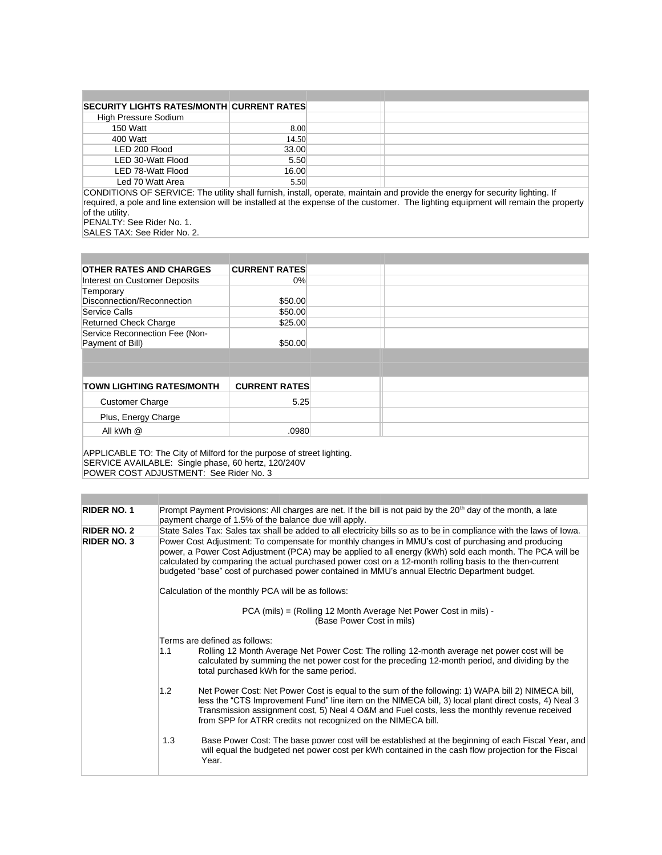| <b>SECURITY LIGHTS RATES/MONTH CURRENT RATES</b>                                                                                                                                                                               |       |                           |          |              |
|--------------------------------------------------------------------------------------------------------------------------------------------------------------------------------------------------------------------------------|-------|---------------------------|----------|--------------|
| High Pressure Sodium                                                                                                                                                                                                           |       |                           |          |              |
| 150 Watt                                                                                                                                                                                                                       | 8.00  |                           |          |              |
| 400 Watt                                                                                                                                                                                                                       | 14.50 |                           |          |              |
| LED 200 Flood                                                                                                                                                                                                                  | 33.00 |                           |          |              |
| LED 30-Watt Flood                                                                                                                                                                                                              | 5.50  |                           |          |              |
| LED 78-Watt Flood                                                                                                                                                                                                              | 16.00 |                           |          |              |
| Led 70 Watt Area                                                                                                                                                                                                               | 5.50  |                           |          |              |
| $2215.712.212.272.272.2737.27377.27377.27377.27377.27377.27377.27377.27377.27377.27377.27377.27377.27377.27377.27377.27377.27377.27377.27377.27377.27377.27377.27377.27377.27377.27377.27377.27377.27377.27377.27377.27377.27$ | .     | .<br>$\sim$ $\sim$ $\sim$ | $\cdots$ | .<br>$\cdot$ |

CONDITIONS OF SERVICE: The utility shall furnish, install, operate, maintain and provide the energy for security lighting. If required, a pole and line extension will be installed at the expense of the customer. The lighting equipment will remain the property of the utility. PENALTY: See Rider No. 1.

SALES TAX: See Rider No. 2.

| <b>OTHER RATES AND CHARGES</b>                                         | <b>CURRENT RATES</b> |  |
|------------------------------------------------------------------------|----------------------|--|
| Interest on Customer Deposits                                          | 0%                   |  |
| Temporary                                                              |                      |  |
| Disconnection/Reconnection                                             | \$50.00              |  |
| Service Calls                                                          | \$50.00              |  |
| <b>Returned Check Charge</b>                                           | \$25.00              |  |
| Service Reconnection Fee (Non-<br>Payment of Bill)                     | \$50.00              |  |
|                                                                        |                      |  |
|                                                                        |                      |  |
| <b>TOWN LIGHTING RATES/MONTH</b>                                       | <b>CURRENT RATES</b> |  |
| <b>Customer Charge</b>                                                 | 5.25                 |  |
| Plus, Energy Charge                                                    |                      |  |
| All kWh @                                                              | .0980                |  |
| APPLICABLE TO: The City of Milford for the purpose of street lighting. |                      |  |

SERVICE AVAILABLE: Single phase, 60 hertz, 120/240V POWER COST ADJUSTMENT: See Rider No. 3

| Prompt Payment Provisions: All charges are net. If the bill is not paid by the 20 <sup>th</sup> day of the month, a late<br>payment charge of 1.5% of the balance due will apply.                                                                                                                                                                                                                                          |
|----------------------------------------------------------------------------------------------------------------------------------------------------------------------------------------------------------------------------------------------------------------------------------------------------------------------------------------------------------------------------------------------------------------------------|
| State Sales Tax: Sales tax shall be added to all electricity bills so as to be in compliance with the laws of lowa.                                                                                                                                                                                                                                                                                                        |
| Power Cost Adjustment: To compensate for monthly changes in MMU's cost of purchasing and producing<br>power, a Power Cost Adjustment (PCA) may be applied to all energy (kWh) sold each month. The PCA will be<br>calculated by comparing the actual purchased power cost on a 12-month rolling basis to the then-current<br>budgeted "base" cost of purchased power contained in MMU's annual Electric Department budget. |
| Calculation of the monthly PCA will be as follows:                                                                                                                                                                                                                                                                                                                                                                         |
| PCA (mils) = (Rolling 12 Month Average Net Power Cost in mils) -<br>(Base Power Cost in mils)                                                                                                                                                                                                                                                                                                                              |
| Terms are defined as follows:<br>Rolling 12 Month Average Net Power Cost: The rolling 12-month average net power cost will be<br>1.1<br>calculated by summing the net power cost for the preceding 12-month period, and dividing by the<br>total purchased kWh for the same period.                                                                                                                                        |
| Net Power Cost: Net Power Cost is equal to the sum of the following: 1) WAPA bill 2) NIMECA bill,<br>1.2<br>less the "CTS Improvement Fund" line item on the NIMECA bill, 3) local plant direct costs, 4) Neal 3<br>Transmission assignment cost, 5) Neal 4 O&M and Fuel costs, less the monthly revenue received<br>from SPP for ATRR credits not recognized on the NIMECA bill.                                          |
| 1.3<br>Base Power Cost: The base power cost will be established at the beginning of each Fiscal Year, and<br>will equal the budgeted net power cost per kWh contained in the cash flow projection for the Fiscal<br>Year.                                                                                                                                                                                                  |
|                                                                                                                                                                                                                                                                                                                                                                                                                            |